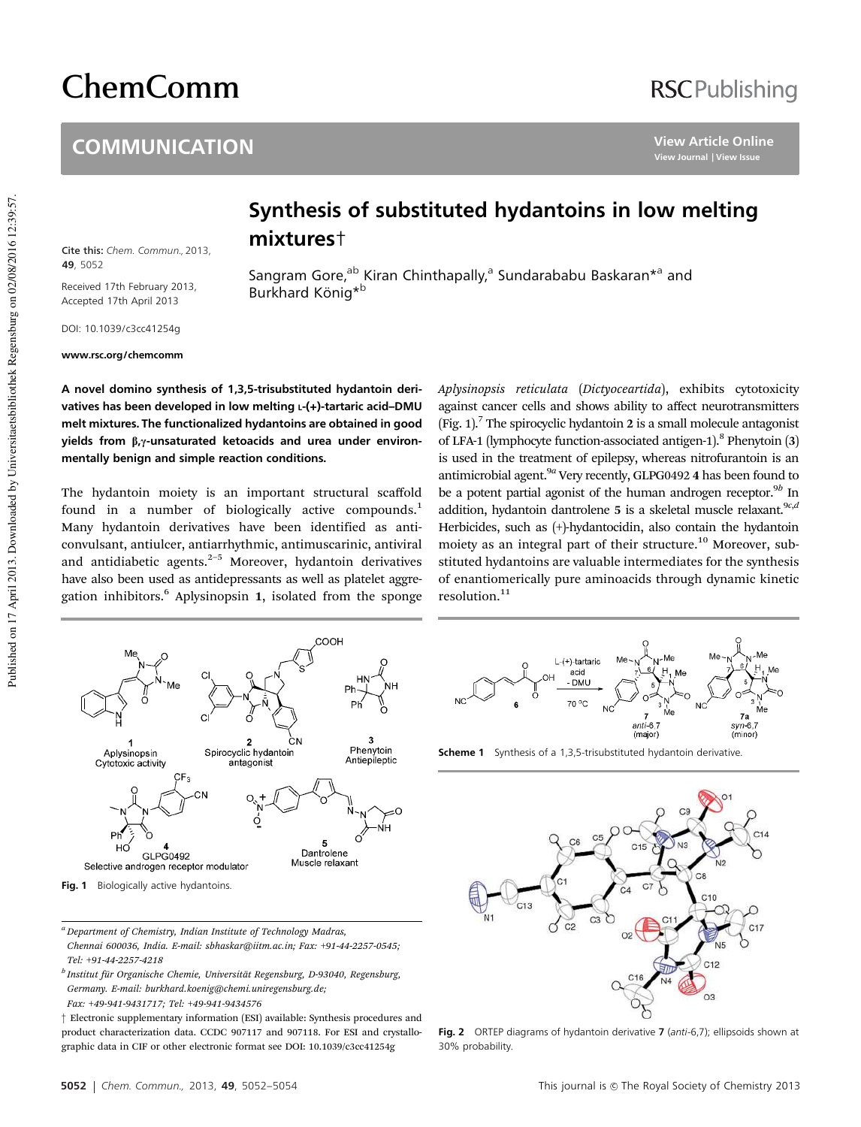# ChemComm

#### **COMMUNICATION**

## **RSCPublishing**

**View Article Online View Journal | View Issue**

### Synthesis of substituted hydantoins in low melting mixtures†

Sangram Gore,<sup>ab</sup> Kiran Chinthapally,<sup>a</sup> Sundarababu Baskaran\*<sup>a</sup> and

Cite this: Chem. Commun., 2013, **49**, 5052

Received 17th February 2013, Accepted 17th April 2013

DOI: 10.1039/c3cc41254g

www.rsc.org/chemcomm

A novel domino synthesis of 1,3,5-trisubstituted hydantoin derivatives has been developed in low melting L-(+)-tartaric acid-DMU melt mixtures. The functionalized hydantoins are obtained in good yields from  $\beta$ , $\gamma$ -unsaturated ketoacids and urea under environmentally benign and simple reaction conditions.

Burkhard König<sup>\*b</sup>

The hydantoin moiety is an important structural scaffold found in a number of biologically active compounds.<sup>1</sup> Many hydantoin derivatives have been identified as anticonvulsant, antiulcer, antiarrhythmic, antimuscarinic, antiviral and antidiabetic agents. $2-5$  Moreover, hydantoin derivatives have also been used as antidepressants as well as platelet aggregation inhibitors.<sup>6</sup> Aplysinopsin 1, isolated from the sponge

Aplysinopsis reticulata (Dictyoceartida), exhibits cytotoxicity against cancer cells and shows ability to affect neurotransmitters (Fig.  $1$ ).<sup>7</sup> The spirocyclic hydantoin 2 is a small molecule antagonist of LFA-1 (lymphocyte function-associated antigen-1).<sup>8</sup> Phenytoin (3) is used in the treatment of epilepsy, whereas nitrofurantoin is an antimicrobial agent.<sup>9a</sup> Very recently, GLPG0492 4 has been found to be a potent partial agonist of the human androgen receptor.<sup>9b</sup> In addition, hydantoin dantrolene 5 is a skeletal muscle relaxant.<sup>9c,d</sup> Herbicides, such as (+)-hydantocidin, also contain the hydantoin moiety as an integral part of their structure.<sup>10</sup> Moreover, substituted hydantoins are valuable intermediates for the synthesis of enantiomerically pure aminoacids through dynamic kinetic resolution.<sup>11</sup>





<sup>a</sup> Department of Chemistry, Indian Institute of Technology Madras, Chennai 600036, India. E-mail: sbhaskar@iitm.ac.in; Fax: +91-44-2257-0545; Tel: +91-44-2257-4218



**Scheme 1** Synthesis of a 1,3,5-trisubstituted hydantoin derivative.



Fig. 2 ORTEP diagrams of hydantoin derivative 7 (anti-6,7); ellipsoids shown at 30% probability.

<sup>&</sup>lt;sup>b</sup> Institut für Organische Chemie, Universität Regensburg, D-93040, Regensburg, Germany. E-mail: burkhard.koenig@chemi.uniregensburg.de; Fax: +49-941-9431717; Tel: +49-941-9434576

<sup>†</sup> Electronic supplementary information (ESI) available: Synthesis procedures and product characterization data. CCDC 907117 and 907118. For ESI and crystallographic data in CIF or other electronic format see DOI: 10.1039/c3cc41254g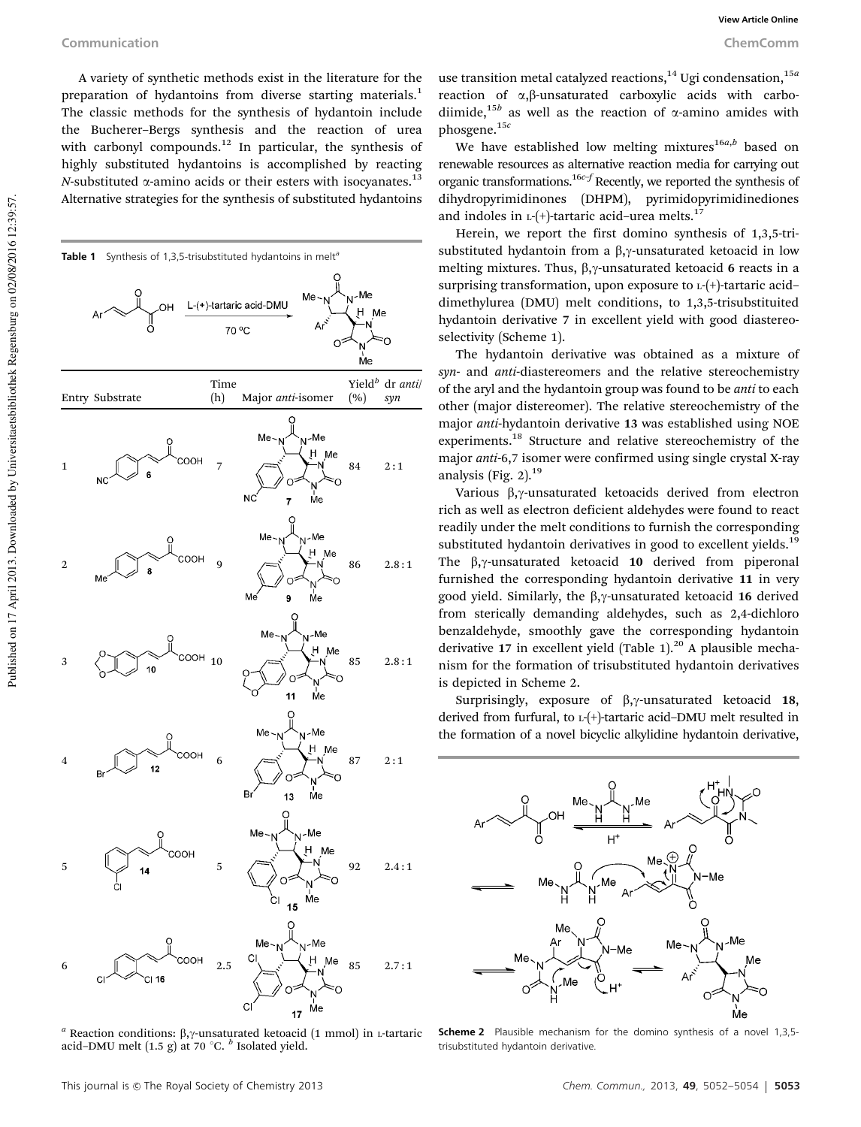A variety of synthetic methods exist in the literature for the preparation of hydantoins from diverse starting materials.<sup>1</sup> The classic methods for the synthesis of hydantoin include the Bucherer–Bergs synthesis and the reaction of urea with carbonyl compounds.<sup>12</sup> In particular, the synthesis of highly substituted hydantoins is accomplished by reacting N-substituted  $\alpha$ -amino acids or their esters with isocyanates.<sup>13</sup> Alternative strategies for the synthesis of substituted hydantoins



<sup>a</sup> Reaction conditions:  $\beta$ , y-unsaturated ketoacid (1 mmol) in *L*-tartaric acid–DMU melt  $(1.5 \text{ g})$  at 70 °C.  $^b$  Isolated yield.

use transition metal catalyzed reactions,<sup>14</sup> Ugi condensation,<sup>15*a*</sup> reaction of  $\alpha$ , $\beta$ -unsaturated carboxylic acids with carbodiimide,<sup>15b</sup> as well as the reaction of  $\alpha$ -amino amides with phosgene.15<sup>c</sup>

We have established low melting mixtures $^{16a,b}$  based on renewable resources as alternative reaction media for carrying out organic transformations.<sup>16c–f</sup> Recently, we reported the synthesis of dihydropyrimidinones (DHPM), pyrimidopyrimidinediones and indoles in  $L$ -(+)-tartaric acid–urea melts.<sup>17</sup>

Herein, we report the first domino synthesis of 1,3,5-trisubstituted hydantoin from a  $\beta$ , $\gamma$ -unsaturated ketoacid in low melting mixtures. Thus,  $\beta$ , $\gamma$ -unsaturated ketoacid 6 reacts in a surprising transformation, upon exposure to <sup>L</sup>-(+)-tartaric acid– dimethylurea (DMU) melt conditions, to 1,3,5-trisubstituited hydantoin derivative 7 in excellent yield with good diastereoselectivity (Scheme 1).

The hydantoin derivative was obtained as a mixture of syn- and anti-diastereomers and the relative stereochemistry of the aryl and the hydantoin group was found to be anti to each other (major distereomer). The relative stereochemistry of the major anti-hydantoin derivative 13 was established using NOE experiments.<sup>18</sup> Structure and relative stereochemistry of the major anti-6,7 isomer were confirmed using single crystal X-ray analysis (Fig. 2).<sup>19</sup>

Various  $\beta$ , $\gamma$ -unsaturated ketoacids derived from electron rich as well as electron deficient aldehydes were found to react readily under the melt conditions to furnish the corresponding substituted hydantoin derivatives in good to excellent yields.<sup>19</sup> The  $\beta$ , $\gamma$ -unsaturated ketoacid 10 derived from piperonal furnished the corresponding hydantoin derivative 11 in very good yield. Similarly, the  $\beta$ , y-unsaturated ketoacid 16 derived from sterically demanding aldehydes, such as 2,4-dichloro benzaldehyde, smoothly gave the corresponding hydantoin derivative 17 in excellent yield (Table 1). $^{20}$  A plausible mechanism for the formation of trisubstituted hydantoin derivatives is depicted in Scheme 2.

Surprisingly, exposure of  $\beta$ ,  $\gamma$ -unsaturated ketoacid 18, derived from furfural, to <sup>L</sup>-(+)-tartaric acid–DMU melt resulted in the formation of a novel bicyclic alkylidine hydantoin derivative,



Scheme 2 Plausible mechanism for the domino synthesis of a novel 1,3,5trisubstituted hydantoin derivative.